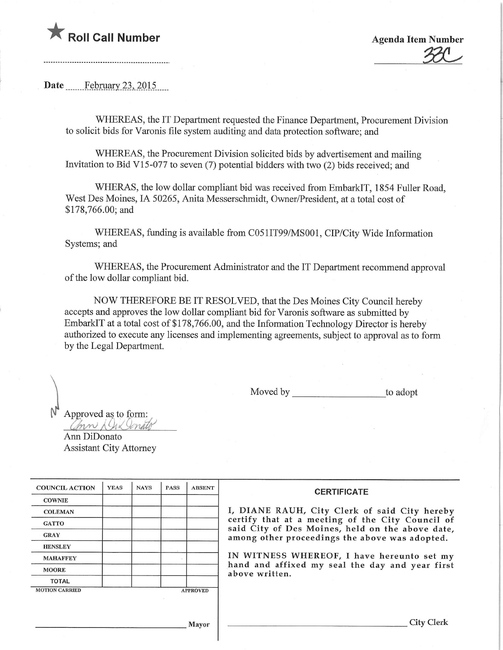## **Agenda Item Number Agenda Item Number** Agenda Item Number

 $\frac{30}{20}$ 

**Date** February 23, 2015

WHEREAS, the IT Department requested the Finance Department, Procurement Division to solicit bids for Varonis file system auditing and data protection software; and

WHEREAS, the Procurement Division solicited bids by advertisement and mailing Invitation to Bid V15-077 to seven  $(7)$  potential bidders with two  $(2)$  bids received; and

WHERAS, the low dollar compliant bid was received from EmbarkIT, 1854 Fuller Road, West Des Moines, IA 50265, Anita Messerschmidt, Owner/President, at a total cost of \$178,766.00; and

WHEREAS, funding is available from C051IT99/MS001, CIP/City Wide Information Systems; and

WHEREAS, the Procurement Administrator and the IT Department recommend approval of the low dollar compliant bid.

NOW THEREFORE BE IT RESOLVED, that the Des Moines City Council hereby accepts and approves the low dollar compliant bid for Varonis software as submitted by EmbarkIT at a total cost of \$178,766.00, and the Information Technology Director is hereby authorized to execute any licenses and implementing agreements, subject to approval as to form by the Legal Department.

Moved by to adopt

Approved as to form: Chin & Jul Jenato

 $\cdot$ 

Ann DiDonato Assistant City Attorney

| <b>COUNCIL ACTION</b> | <b>YEAS</b> | <b>NAYS</b> | <b>PASS</b> | <b>ABSENT</b>   | <b>CERTIFICATE</b>                                                                                                                                                                                                                                                        |  |  |  |
|-----------------------|-------------|-------------|-------------|-----------------|---------------------------------------------------------------------------------------------------------------------------------------------------------------------------------------------------------------------------------------------------------------------------|--|--|--|
| <b>COWNIE</b>         |             |             |             |                 |                                                                                                                                                                                                                                                                           |  |  |  |
| <b>COLEMAN</b>        |             |             |             |                 | I, DIANE RAUH, City Clerk of said City hereby                                                                                                                                                                                                                             |  |  |  |
| <b>GATTO</b>          |             |             |             |                 | certify that at a meeting of the City Council of<br>said City of Des Moines, held on the above date,<br>among other proceedings the above was adopted.<br>IN WITNESS WHEREOF, I have hereunto set my<br>hand and affixed my seal the day and year first<br>above written. |  |  |  |
| <b>GRAY</b>           |             |             |             |                 |                                                                                                                                                                                                                                                                           |  |  |  |
| <b>HENSLEY</b>        |             |             |             |                 |                                                                                                                                                                                                                                                                           |  |  |  |
| <b>MAHAFFEY</b>       |             |             |             |                 |                                                                                                                                                                                                                                                                           |  |  |  |
| <b>MOORE</b>          |             |             |             |                 |                                                                                                                                                                                                                                                                           |  |  |  |
| <b>TOTAL</b>          |             |             |             |                 |                                                                                                                                                                                                                                                                           |  |  |  |
| <b>MOTION CARRIED</b> |             |             |             | <b>APPROVED</b> |                                                                                                                                                                                                                                                                           |  |  |  |
|                       |             |             |             |                 |                                                                                                                                                                                                                                                                           |  |  |  |
|                       |             |             |             |                 |                                                                                                                                                                                                                                                                           |  |  |  |
| Mavor                 |             |             |             |                 | <b>City Clerk</b>                                                                                                                                                                                                                                                         |  |  |  |